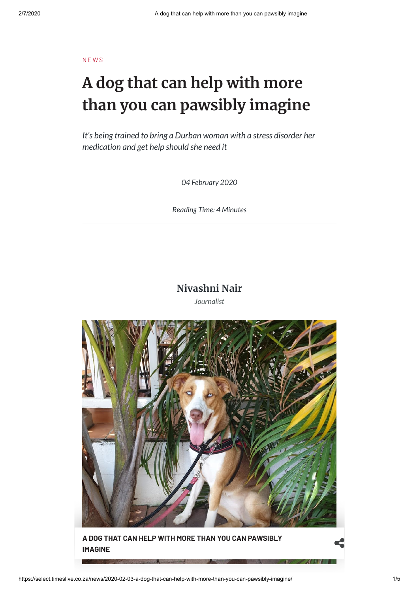**NEWS** 

# **A dog that can help with more than you can pawsibly imagine**

*It's being trained to bring a Durban woman with a stress disorder her medication and get help should she need it*

*04 February 2020*

*Reading Time: 4 Minutes*

### **[Nivashni](https://select.timeslive.co.za/authors/nivashni-nair) Nair**

*Journalist*



**A DOG THAT CAN HELP WITH MORE THAN YOU CAN [PAWSIBLY](https://lh3.googleusercontent.com/jTH5yZTmadeit4TypS-kRZ9MHbCFjRAtLxtnNQTHEF1w0J7hcmMwaANvIXy0iyWmcXQOJ_W58Pn0qGmrKJB3l3UV=s1200) IMAGINE**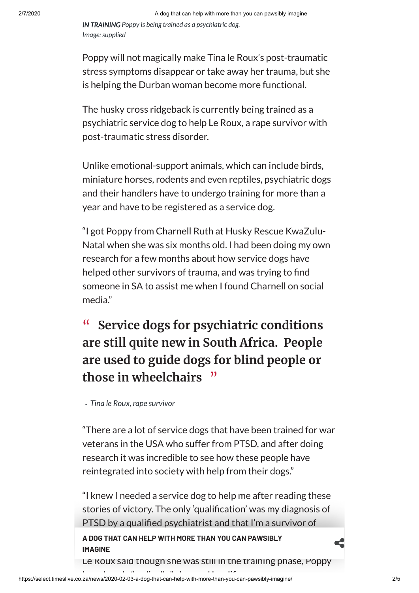*IN TRAINING Poppy is being trained as a psychiatric dog. Image:supplied*

Poppy will not magically make Tina le Roux's post-traumatic stress symptoms disappear or take away her trauma, but she is helping the Durban woman become more functional.

The husky cross ridgeback is currently being trained as a psychiatric service dog to help Le Roux, a rape survivor with post-traumatic stress disorder.

Unlike emotional-support animals, which can include birds, miniature horses, rodents and even reptiles, psychiatric dogs and their handlers have to undergo training for more than a year and have to be registered as a service dog.

"I got Poppy from Charnell Ruth at Husky Rescue KwaZulu-Natal when she was six months old. I had been doing my own research for a few months about how service dogs have helped other survivors of trauma, and was trying to find someone in SA to assist me when I found Charnell on social media."

## **" Service dogs for psychiatric conditions are still quite new in South Africa. People are used to guide dogs for blind people or those in wheelchairs "**

*- Tina le Roux, rape survivor*

"There are a lot of service dogs that have been trained for war veterans in the USA who suffer from PTSD, and after doing research it was incredible to see how these people have reintegrated into society with help from their dogs."

"I knew I needed a service dog to help me after reading these stories of victory. The only 'qualification' was my diagnosis of PTSD by a qualified psychiatrist and that I'm a survivor of rape," Le Roux told Times Select. **A DOG THAT CAN HELP WITH MORE THAN YOU CAN PAWSIBLY IMAGINE**

Le Roux said though she was still in the training phase, Poppy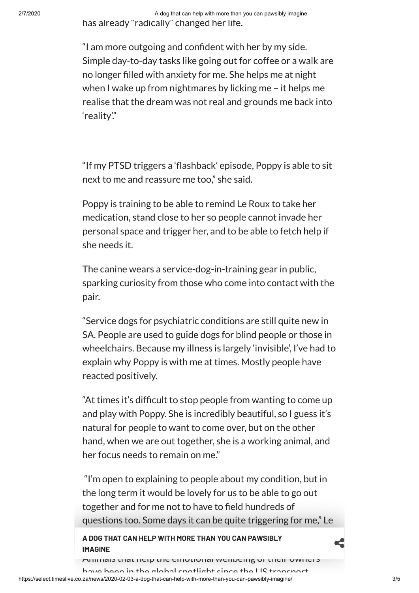2/7/2020 A dog that can help with more than you can pawsibly imagine has already "radically" changed her life.

> "I am more outgoing and confident with her by my side. Simple day-to-day tasks like going out for coffee or a walk are no longer filled with anxiety for me. She helps me at night when I wake up from nightmares by licking me – it helps me realise that the dream was not real and grounds me back into 'reality'."

> "If my PTSD triggers a 'flashback' episode, Poppy is able to sit next to me and reassure me too," she said.

Poppy is training to be able to remind Le Roux to take her medication, stand close to her so people cannot invade her personal space and trigger her, and to be able to fetch help if she needs it.

The canine wears a service-dog-in-training gear in public, sparking curiosity from those who come into contact with the pair.

"Service dogs for psychiatric conditions are still quite new in SA. People are used to guide dogs for blind people or those in wheelchairs. Because my illness is largely 'invisible', I've had to explain why Poppy is with me at times. Mostly people have reacted positively.

"At times it's difficult to stop people from wanting to come up and play with Poppy. She is incredibly beautiful, so I guess it's natural for people to want to come over, but on the other hand, when we are out together, she is a working animal, and her focus needs to remain on me."

"I'm open to explaining to people about my condition, but in the long term it would be lovely for us to be able to go out together and for me not to have to field hundreds of questions too. Some days it can be quite triggering for me," Le

# Roux said. **A DOG THAT CAN HELP WITH MORE THAN YOU CAN PAWSIBLY IMAGINE**

Animals that help the emotional wellbeing of their owners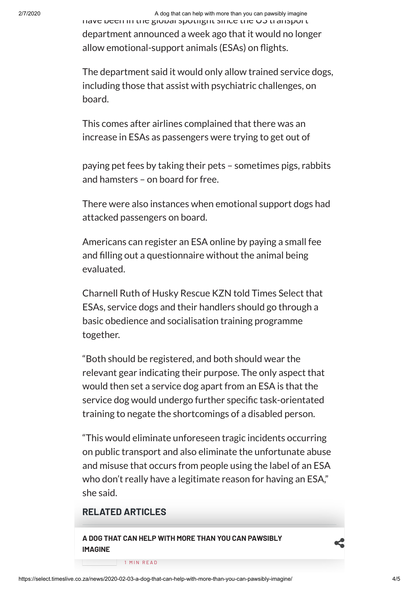2/7/2020 A dog that can help with more than you can pawsibly imagine

have been in the global spotlight since the US transport department announced a week ago that it would no longer allow emotional-support animals (ESAs) on flights.

The department said it would only allow trained service dogs, including those that assist with psychiatric challenges, on board.

This comes after airlines complained that there was an increase in ESAs as passengers were trying to get out of

paying pet fees by taking their pets – sometimes pigs, rabbits and hamsters – on board for free.

There were also instances when emotional support dogs had attacked passengers on board.

Americans can register an ESA online by paying a small fee and filling out a questionnaire without the animal being evaluated.

Charnell Ruth of Husky Rescue KZN told Times Select that ESAs, service dogs and their handlers should go through a basic obedience and socialisation training programme together.

"Both should be registered, and both should wear the relevant gear indicating their purpose. The only aspect that would then set a service dog apart from an ESA is that the service dog would undergo further specific task-orientated training to negate the shortcomings of a disabled person.

"This would eliminate unforeseen tragic incidents occurring on public transport and also eliminate the unfortunate abuse and misuse that occurs from people using the label of an ESA who don't really have a legitimate reason for having an ESA," she said.

### **RELATED ARTICLES**

N E W S **A DOG THAT CAN HELP WITH MORE THAN YOU CAN PAWSIBLY [IMAGINE](https://select.timeslive.co.za/news/2020-01-17-taylor-the-super-sniffing-spaniel-to-the-rescue-of-bushfire-hit-koalas/) Taylor the [super-sning](https://select.timeslive.co.za/news/2020-01-17-taylor-the-super-sniffing-spaniel-to-the-rescue-of-bushfire-hit-koalas/)**

1 MIN READ